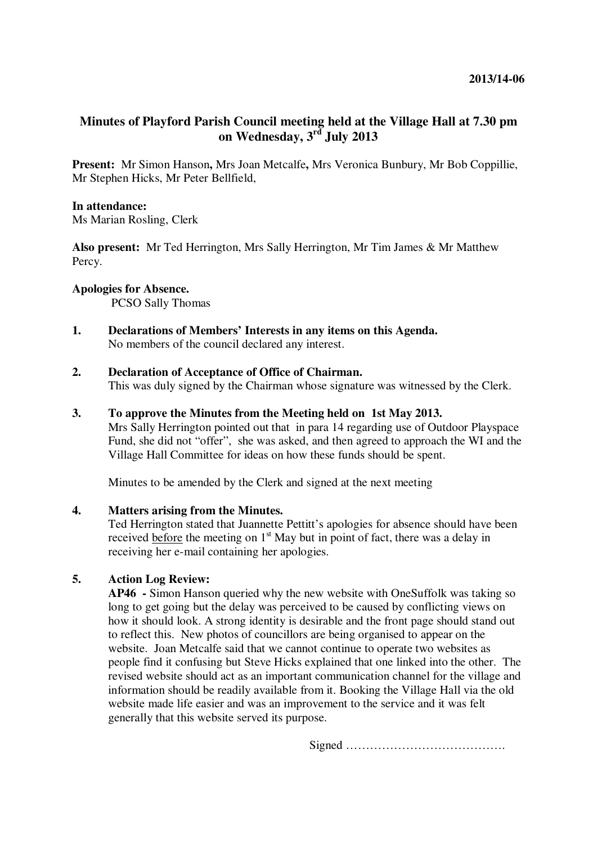# **Minutes of Playford Parish Council meeting held at the Village Hall at 7.30 pm on Wednesday, 3rd July 2013**

**Present:** Mr Simon Hanson**,** Mrs Joan Metcalfe**,** Mrs Veronica Bunbury, Mr Bob Coppillie, Mr Stephen Hicks, Mr Peter Bellfield,

# **In attendance:**

Ms Marian Rosling, Clerk

**Also present:** Mr Ted Herrington, Mrs Sally Herrington, Mr Tim James & Mr Matthew Percy.

# **Apologies for Absence.**

PCSO Sally Thomas

**1. Declarations of Members' Interests in any items on this Agenda.**  No members of the council declared any interest.

# **2. Declaration of Acceptance of Office of Chairman.**

This was duly signed by the Chairman whose signature was witnessed by the Clerk.

### **3. To approve the Minutes from the Meeting held on 1st May 2013.**

Mrs Sally Herrington pointed out that in para 14 regarding use of Outdoor Playspace Fund, she did not "offer", she was asked, and then agreed to approach the WI and the Village Hall Committee for ideas on how these funds should be spent.

Minutes to be amended by the Clerk and signed at the next meeting

# **4. Matters arising from the Minutes.**

Ted Herrington stated that Juannette Pettitt's apologies for absence should have been received before the meeting on  $1<sup>st</sup>$  May but in point of fact, there was a delay in receiving her e-mail containing her apologies.

# **5. Action Log Review:**

**AP46 -** Simon Hanson queried why the new website with OneSuffolk was taking so long to get going but the delay was perceived to be caused by conflicting views on how it should look. A strong identity is desirable and the front page should stand out to reflect this. New photos of councillors are being organised to appear on the website. Joan Metcalfe said that we cannot continue to operate two websites as people find it confusing but Steve Hicks explained that one linked into the other. The revised website should act as an important communication channel for the village and information should be readily available from it. Booking the Village Hall via the old website made life easier and was an improvement to the service and it was felt generally that this website served its purpose.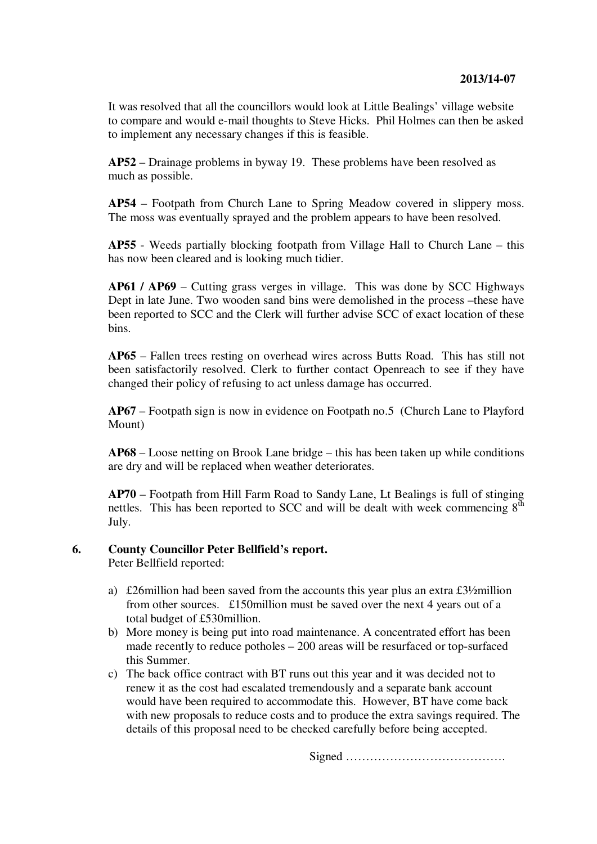It was resolved that all the councillors would look at Little Bealings' village website to compare and would e-mail thoughts to Steve Hicks. Phil Holmes can then be asked to implement any necessary changes if this is feasible.

**AP52** – Drainage problems in byway 19. These problems have been resolved as much as possible.

**AP54** – Footpath from Church Lane to Spring Meadow covered in slippery moss. The moss was eventually sprayed and the problem appears to have been resolved.

**AP55** - Weeds partially blocking footpath from Village Hall to Church Lane – this has now been cleared and is looking much tidier.

**AP61 / AP69** – Cutting grass verges in village. This was done by SCC Highways Dept in late June. Two wooden sand bins were demolished in the process –these have been reported to SCC and the Clerk will further advise SCC of exact location of these bins.

**AP65** – Fallen trees resting on overhead wires across Butts Road. This has still not been satisfactorily resolved. Clerk to further contact Openreach to see if they have changed their policy of refusing to act unless damage has occurred.

**AP67** – Footpath sign is now in evidence on Footpath no.5 (Church Lane to Playford Mount)

**AP68** – Loose netting on Brook Lane bridge – this has been taken up while conditions are dry and will be replaced when weather deteriorates.

**AP70** – Footpath from Hill Farm Road to Sandy Lane, Lt Bealings is full of stinging nettles. This has been reported to SCC and will be dealt with week commencing  $8<sup>th</sup>$ July.

# **6. County Councillor Peter Bellfield's report.**

Peter Bellfield reported:

- a) £26million had been saved from the accounts this year plus an extra £3½million from other sources. £150million must be saved over the next 4 years out of a total budget of £530million.
- b) More money is being put into road maintenance. A concentrated effort has been made recently to reduce potholes – 200 areas will be resurfaced or top-surfaced this Summer.
- c) The back office contract with BT runs out this year and it was decided not to renew it as the cost had escalated tremendously and a separate bank account would have been required to accommodate this. However, BT have come back with new proposals to reduce costs and to produce the extra savings required. The details of this proposal need to be checked carefully before being accepted.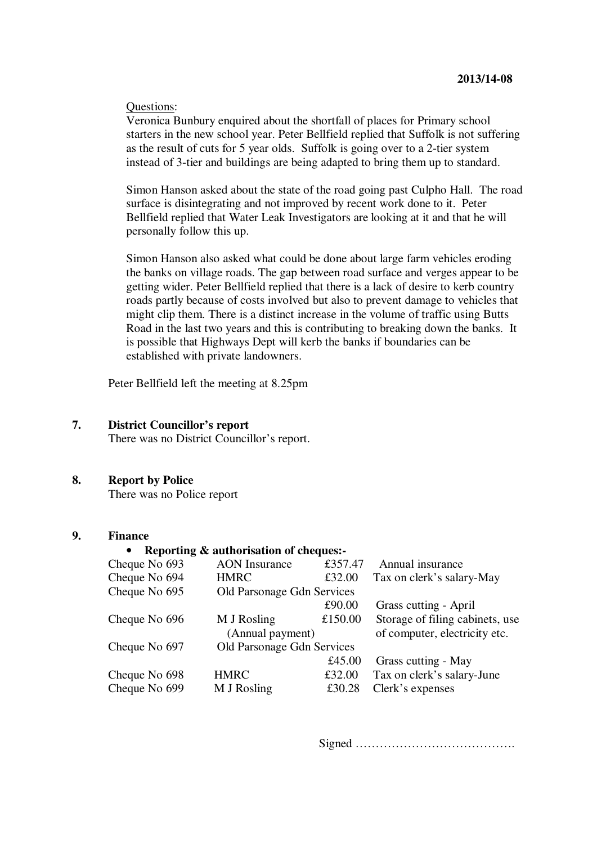#### Questions:

Veronica Bunbury enquired about the shortfall of places for Primary school starters in the new school year. Peter Bellfield replied that Suffolk is not suffering as the result of cuts for 5 year olds. Suffolk is going over to a 2-tier system instead of 3-tier and buildings are being adapted to bring them up to standard.

Simon Hanson asked about the state of the road going past Culpho Hall. The road surface is disintegrating and not improved by recent work done to it. Peter Bellfield replied that Water Leak Investigators are looking at it and that he will personally follow this up.

Simon Hanson also asked what could be done about large farm vehicles eroding the banks on village roads. The gap between road surface and verges appear to be getting wider. Peter Bellfield replied that there is a lack of desire to kerb country roads partly because of costs involved but also to prevent damage to vehicles that might clip them. There is a distinct increase in the volume of traffic using Butts Road in the last two years and this is contributing to breaking down the banks. It is possible that Highways Dept will kerb the banks if boundaries can be established with private landowners.

Peter Bellfield left the meeting at 8.25pm

### **7. District Councillor's report**

There was no District Councillor's report.

# **8. Report by Police**

There was no Police report

### **9. Finance**

## • **Reporting & authorisation of cheques:-**

| $         -$  |                            |         |                                 |
|---------------|----------------------------|---------|---------------------------------|
| Cheque No 693 | <b>AON</b> Insurance       | £357.47 | Annual insurance                |
| Cheque No 694 | <b>HMRC</b>                | £32.00  | Tax on clerk's salary-May       |
| Cheque No 695 | Old Parsonage Gdn Services |         |                                 |
|               |                            | £90.00  | Grass cutting - April           |
| Cheque No 696 | M J Rosling                | £150.00 | Storage of filing cabinets, use |
|               | (Annual payment)           |         | of computer, electricity etc.   |
| Cheque No 697 | Old Parsonage Gdn Services |         |                                 |
|               |                            | £45.00  | Grass cutting - May             |
| Cheque No 698 | <b>HMRC</b>                | £32.00  | Tax on clerk's salary-June      |
| Cheque No 699 | M J Rosling                | £30.28  | Clerk's expenses                |
|               |                            |         |                                 |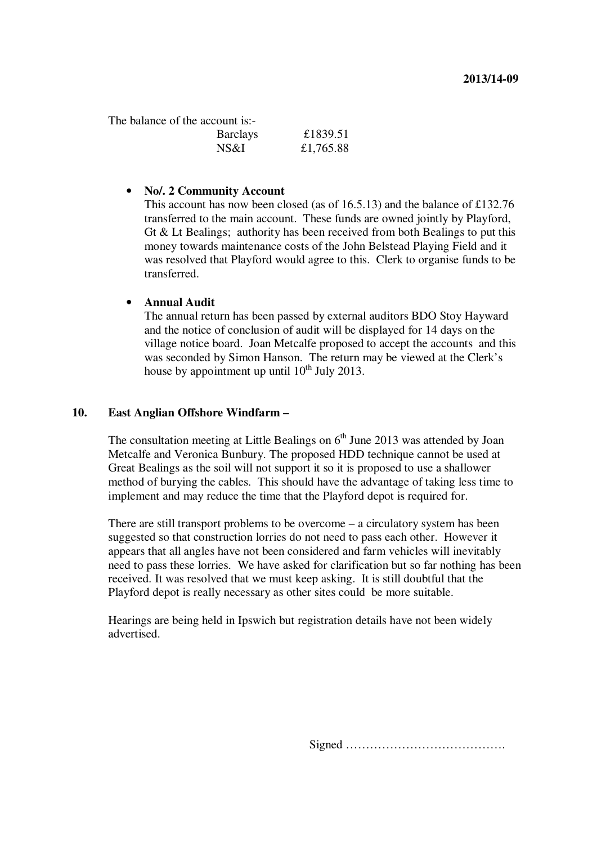The balance of the account is:-

| <b>Barclays</b> | £1839.51  |
|-----------------|-----------|
| NS&I            | £1,765.88 |

#### • **No/. 2 Community Account**

This account has now been closed (as of 16.5.13) and the balance of £132.76 transferred to the main account. These funds are owned jointly by Playford, Gt & Lt Bealings; authority has been received from both Bealings to put this money towards maintenance costs of the John Belstead Playing Field and it was resolved that Playford would agree to this. Clerk to organise funds to be transferred.

### • **Annual Audit**

The annual return has been passed by external auditors BDO Stoy Hayward and the notice of conclusion of audit will be displayed for 14 days on the village notice board. Joan Metcalfe proposed to accept the accounts and this was seconded by Simon Hanson. The return may be viewed at the Clerk's house by appointment up until  $10^{th}$  July 2013.

# **10. East Anglian Offshore Windfarm –**

The consultation meeting at Little Bealings on  $6<sup>th</sup>$  June 2013 was attended by Joan Metcalfe and Veronica Bunbury. The proposed HDD technique cannot be used at Great Bealings as the soil will not support it so it is proposed to use a shallower method of burying the cables. This should have the advantage of taking less time to implement and may reduce the time that the Playford depot is required for.

There are still transport problems to be overcome – a circulatory system has been suggested so that construction lorries do not need to pass each other. However it appears that all angles have not been considered and farm vehicles will inevitably need to pass these lorries. We have asked for clarification but so far nothing has been received. It was resolved that we must keep asking. It is still doubtful that the Playford depot is really necessary as other sites could be more suitable.

Hearings are being held in Ipswich but registration details have not been widely advertised.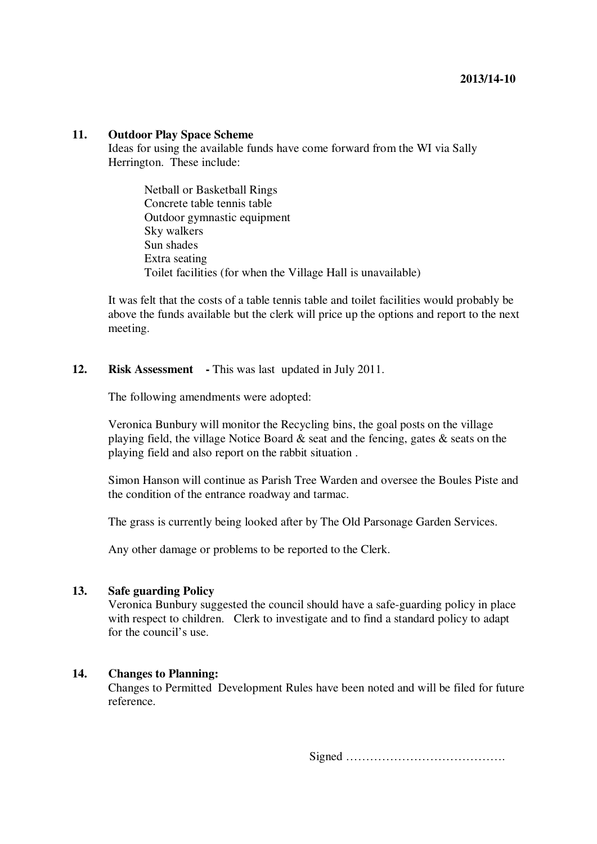### **11. Outdoor Play Space Scheme**

Ideas for using the available funds have come forward from the WI via Sally Herrington. These include:

Netball or Basketball Rings Concrete table tennis table Outdoor gymnastic equipment Sky walkers Sun shades Extra seating Toilet facilities (for when the Village Hall is unavailable)

It was felt that the costs of a table tennis table and toilet facilities would probably be above the funds available but the clerk will price up the options and report to the next meeting.

### **12. Risk Assessment -** This was last updated in July 2011.

The following amendments were adopted:

Veronica Bunbury will monitor the Recycling bins, the goal posts on the village playing field, the village Notice Board & seat and the fencing, gates & seats on the playing field and also report on the rabbit situation .

Simon Hanson will continue as Parish Tree Warden and oversee the Boules Piste and the condition of the entrance roadway and tarmac.

The grass is currently being looked after by The Old Parsonage Garden Services.

Any other damage or problems to be reported to the Clerk.

#### **13. Safe guarding Policy**

Veronica Bunbury suggested the council should have a safe-guarding policy in place with respect to children. Clerk to investigate and to find a standard policy to adapt for the council's use.

#### **14. Changes to Planning:**

Changes to Permitted Development Rules have been noted and will be filed for future reference.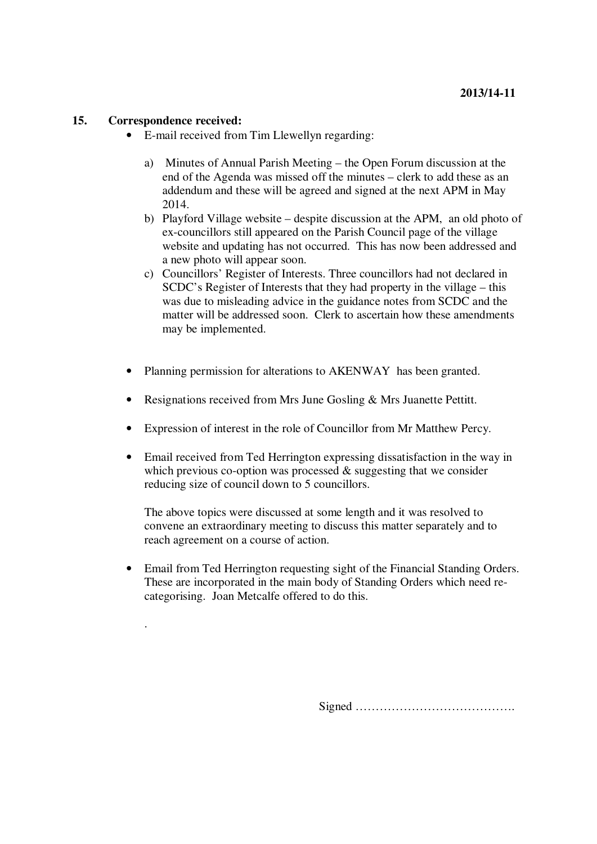# **15. Correspondence received:**

.

- E-mail received from Tim Llewellyn regarding:
	- a) Minutes of Annual Parish Meeting the Open Forum discussion at the end of the Agenda was missed off the minutes – clerk to add these as an addendum and these will be agreed and signed at the next APM in May 2014.
	- b) Playford Village website despite discussion at the APM, an old photo of ex-councillors still appeared on the Parish Council page of the village website and updating has not occurred. This has now been addressed and a new photo will appear soon.
	- c) Councillors' Register of Interests. Three councillors had not declared in SCDC's Register of Interests that they had property in the village – this was due to misleading advice in the guidance notes from SCDC and the matter will be addressed soon. Clerk to ascertain how these amendments may be implemented.
- Planning permission for alterations to AKENWAY has been granted.
- Resignations received from Mrs June Gosling & Mrs Juanette Pettitt.
- Expression of interest in the role of Councillor from Mr Matthew Percy.
- Email received from Ted Herrington expressing dissatisfaction in the way in which previous co-option was processed & suggesting that we consider reducing size of council down to 5 councillors.

The above topics were discussed at some length and it was resolved to convene an extraordinary meeting to discuss this matter separately and to reach agreement on a course of action.

• Email from Ted Herrington requesting sight of the Financial Standing Orders. These are incorporated in the main body of Standing Orders which need recategorising. Joan Metcalfe offered to do this.